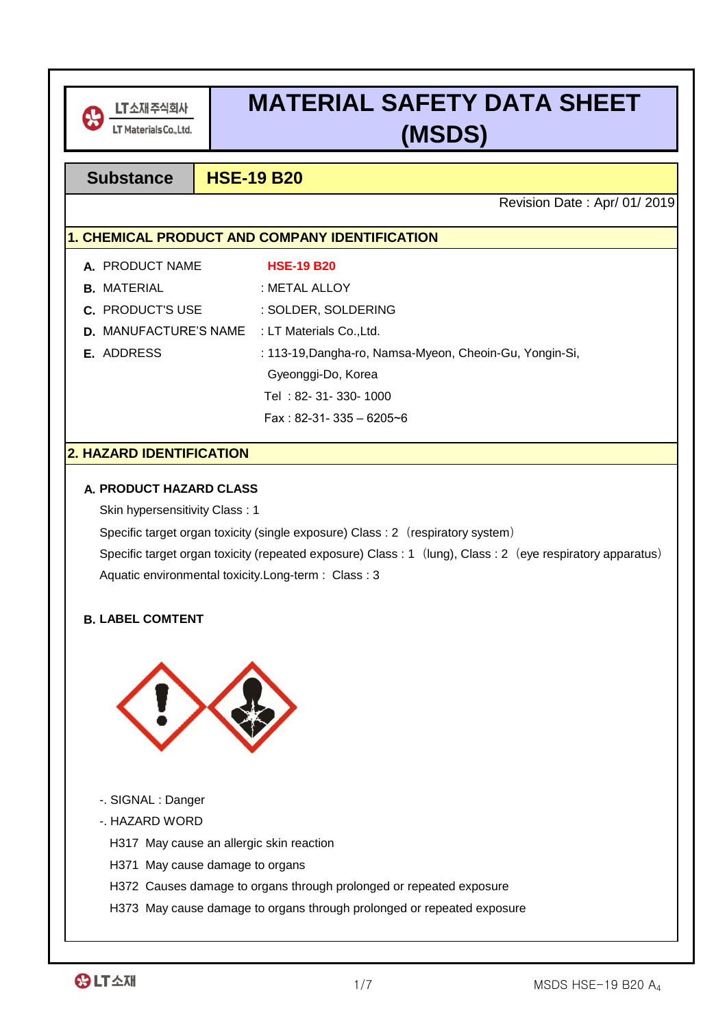

# **MATERIAL SAFETY DATA SHEET (MSDS)**

## **Substance HSE-19 B20**

Revision Date : Apr/ 01/ 2019

## **1. CHEMICAL PRODUCT AND COMPANY IDENTIFICATION**

| A. PRODUCT NAME                                       | <b>HSE-19 B20</b>                                       |
|-------------------------------------------------------|---------------------------------------------------------|
| <b>B.</b> MATERIAL                                    | : METAL ALLOY                                           |
| <b>C.</b> PRODUCT'S USE                               | : SOLDER, SOLDERING                                     |
| <b>D.</b> MANUFACTURE'S NAME : LT Materials Co., Ltd. |                                                         |
| E. ADDRESS                                            | : 113-19, Dangha-ro, Namsa-Myeon, Cheoin-Gu, Yongin-Si, |
|                                                       | Gyeonggi-Do, Korea                                      |
|                                                       | Tel: 82-31-330-1000                                     |
|                                                       | Fax: 82-31- 335 - 6205~6                                |

## **2. HAZARD IDENTIFICATION**

#### **A. PRODUCT HAZARD CLASS**

Skin hypersensitivity Class : 1

Specific target organ toxicity (single exposure) Class : 2 (respiratory system)

Specific target organ toxicity (repeated exposure) Class : 1 (lung), Class : 2 (eye respiratory apparatus) Aquatic environmental toxicity.Long-term : Class : 3

## **B. LABEL COMTENT**



- -. SIGNAL : Danger
- -. HAZARD WORD

H317 May cause an allergic skin reaction

- H371 May cause damage to organs
- H372 Causes damage to organs through prolonged or repeated exposure
- H373 May cause damage to organs through prolonged or repeated exposure

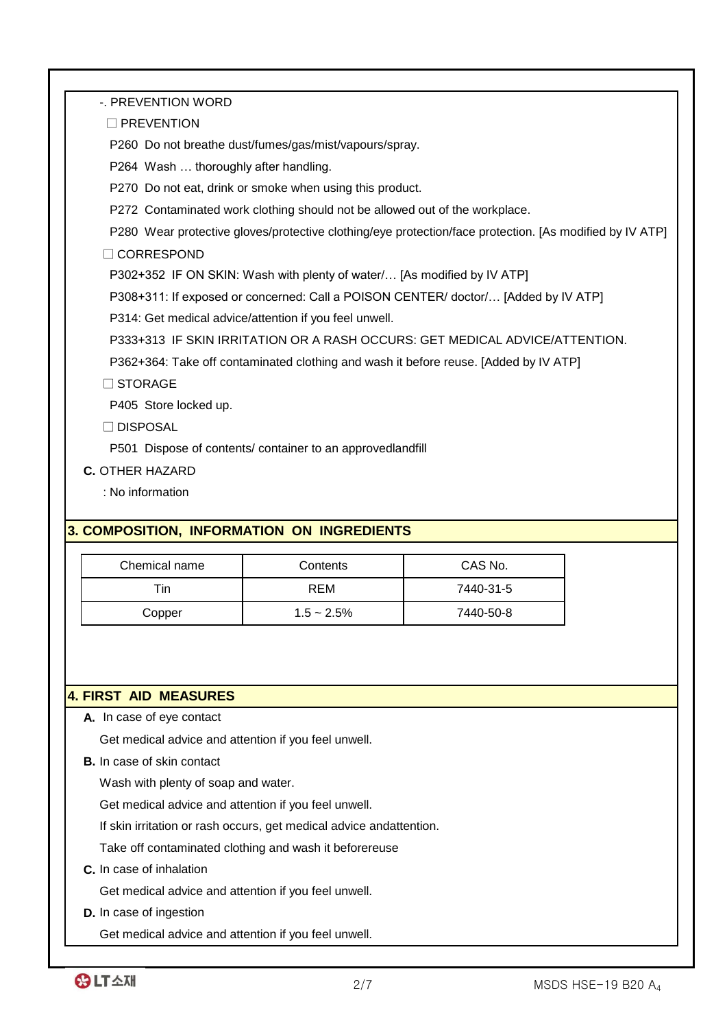-. PREVENTION WORD

□ PREVENTION

P260 Do not breathe dust/fumes/gas/mist/vapours/spray.

P264 Wash … thoroughly after handling.

P270 Do not eat, drink or smoke when using this product.

P272 Contaminated work clothing should not be allowed out of the workplace.

P280 Wear protective gloves/protective clothing/eye protection/face protection. [As modified by IV ATP]

□ CORRESPOND

P302+352 IF ON SKIN: Wash with plenty of water/… [As modified by IV ATP]

P308+311: If exposed or concerned: Call a POISON CENTER/ doctor/… [Added by IV ATP]

P314: Get medical advice/attention if you feel unwell.

P333+313 IF SKIN IRRITATION OR A RASH OCCURS: GET MEDICAL ADVICE/ATTENTION.

P362+364: Take off contaminated clothing and wash it before reuse. [Added by IV ATP]

□ STORAGE

P405 Store locked up.

□ DISPOSAL

P501 Dispose of contents/ container to an approvedlandfill

**C.** OTHER HAZARD

: No information

## **3. COMPOSITION, INFORMATION ON INGREDIENTS**

| Chemical name | Contents      | CAS No.   |
|---------------|---------------|-----------|
| τin⊹          | REM           | 7440-31-5 |
| Copper        | $1.5 - 2.5\%$ | 7440-50-8 |

#### **4. FIRST AID MEASURES**

**A.** In case of eye contact

Get medical advice and attention if you feel unwell.

**B.** In case of skin contact

Wash with plenty of soap and water.

Get medical advice and attention if you feel unwell.

If skin irritation or rash occurs, get medical advice andattention.

Take off contaminated clothing and wash it beforereuse

**C.** In case of inhalation

Get medical advice and attention if you feel unwell.

**D.** In case of ingestion

Get medical advice and attention if you feel unwell.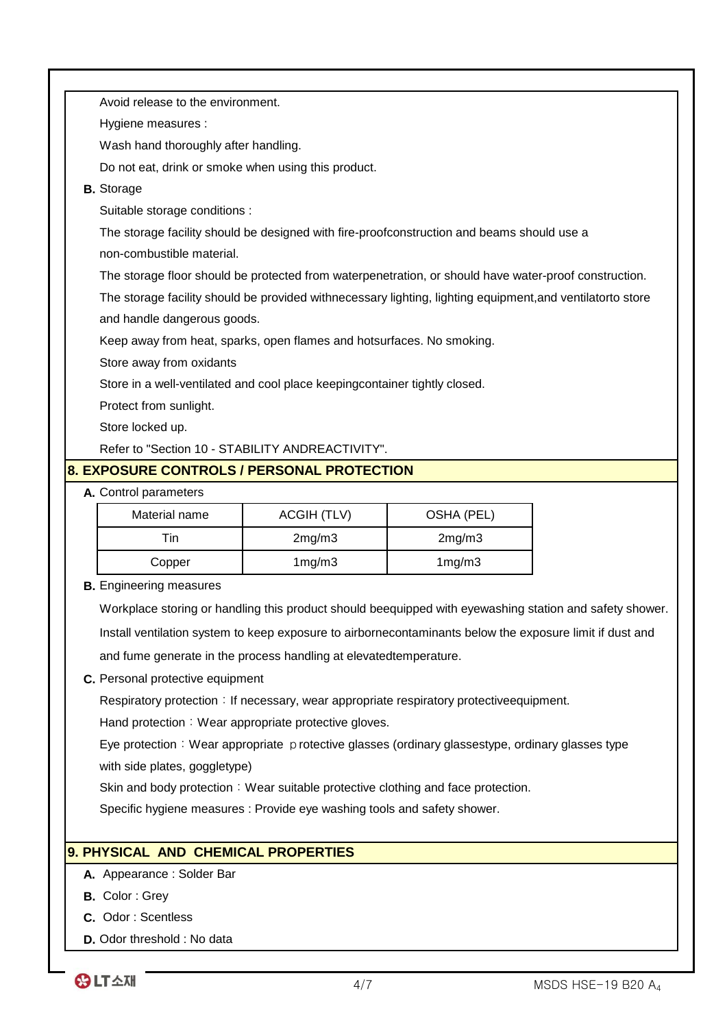| Avoid release to the environment.    |                                                                                                            |            |  |
|--------------------------------------|------------------------------------------------------------------------------------------------------------|------------|--|
| Hygiene measures :                   |                                                                                                            |            |  |
| Wash hand thoroughly after handling. |                                                                                                            |            |  |
|                                      | Do not eat, drink or smoke when using this product.                                                        |            |  |
| <b>B.</b> Storage                    |                                                                                                            |            |  |
| Suitable storage conditions :        |                                                                                                            |            |  |
|                                      | The storage facility should be designed with fire-proofconstruction and beams should use a                 |            |  |
| non-combustible material.            |                                                                                                            |            |  |
|                                      | The storage floor should be protected from waterpenetration, or should have water-proof construction.      |            |  |
|                                      | The storage facility should be provided withnecessary lighting, lighting equipment, and ventilatorto store |            |  |
| and handle dangerous goods.          |                                                                                                            |            |  |
|                                      | Keep away from heat, sparks, open flames and hotsurfaces. No smoking.                                      |            |  |
| Store away from oxidants             |                                                                                                            |            |  |
|                                      | Store in a well-ventilated and cool place keepingcontainer tightly closed.                                 |            |  |
| Protect from sunlight.               |                                                                                                            |            |  |
| Store locked up.                     |                                                                                                            |            |  |
|                                      | Refer to "Section 10 - STABILITY ANDREACTIVITY".                                                           |            |  |
|                                      | <b>8. EXPOSURE CONTROLS / PERSONAL PROTECTION</b>                                                          |            |  |
| A. Control parameters                |                                                                                                            |            |  |
| Material name                        | <b>ACGIH (TLV)</b>                                                                                         | OSHA (PEL) |  |
| Tin                                  | 2mg/m3                                                                                                     | 2mg/m3     |  |
| Copper                               | 1mg/m3                                                                                                     | 1mg/m3     |  |
| <b>B.</b> Engineering measures       |                                                                                                            |            |  |
|                                      | Workplace storing or handling this product should beequipped with eyewashing station and safety shower.    |            |  |
|                                      | Install ventilation system to keep exposure to airbornecontaminants below the exposure limit if dust and   |            |  |
|                                      | and fume generate in the process handling at elevated temperature.                                         |            |  |
| C. Personal protective equipment     |                                                                                                            |            |  |
|                                      | Respiratory protection : If necessary, wear appropriate respiratory protective equipment.                  |            |  |

Hand protection: Wear appropriate protective gloves.

with side plates, goggletype) Eye protection: Wear appropriate protective glasses (ordinary glassestype, ordinary glasses type

Skin and body protection: Wear suitable protective clothing and face protection.

Specific hygiene measures : Provide eye washing tools and safety shower.

## **9. PHYSICAL AND CHEMICAL PROPERTIES**

- **A.** Appearance : Solder Bar
- **B.** Color : Grey
- **C.** Odor : Scentless
- **D.** Odor threshold : No data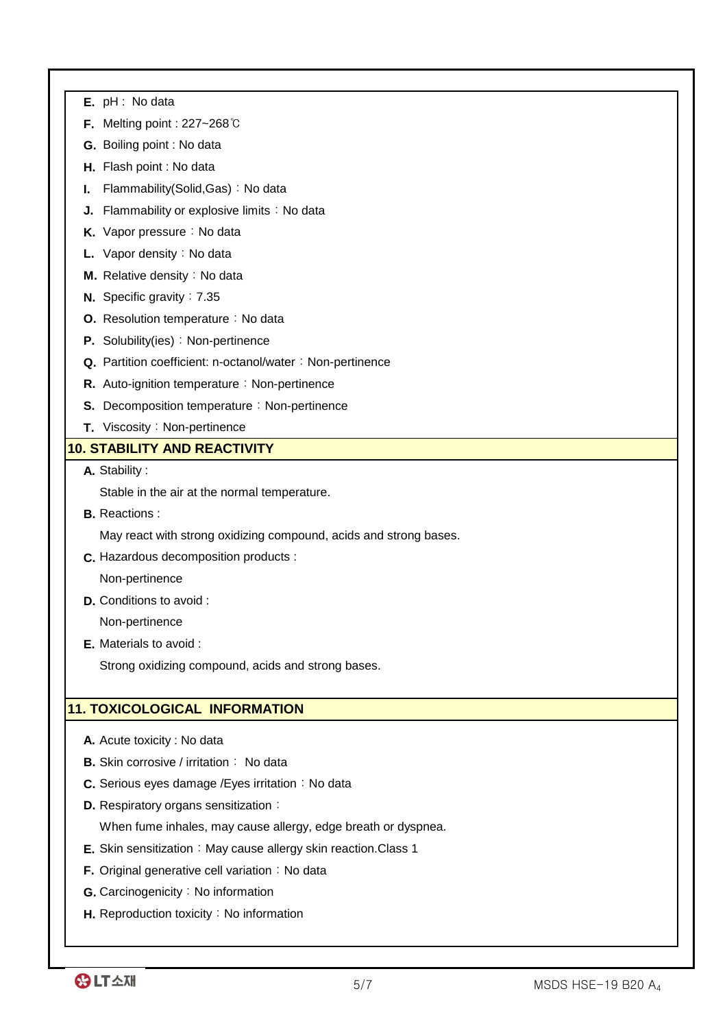| <b>E.</b> $pH: No data$ |  |  |  |
|-------------------------|--|--|--|
|-------------------------|--|--|--|

- **F.** Melting point : 227~268℃
- **G.** Boiling point : No data
- **H.** Flash point : No data
- **I.** Flammability(Solid,Gas): No data
- **J.** Flammability or explosive limits: No data
- **K.** Vapor pressure: No data
- **L.** Vapor density: No data
- **M.** Relative density:No data
- **N.** Specific gravity: 7.35
- **O.** Resolution temperature: No data
- **P.** Solubility(ies): Non-pertinence
- Q. Partition coefficient: n-octanol/water: Non-pertinence
- **R.** Auto-ignition temperature: Non-pertinence
- **S.** Decomposition temperature: Non-pertinence
- **T.** Viscosity: Non-pertinence

## **10. STABILITY AND REACTIVITY**

**A.** Stability :

Stable in the air at the normal temperature.

**B.** Reactions :

May react with strong oxidizing compound, acids and strong bases.

**C.** Hazardous decomposition products :

Non-pertinence

**D.** Conditions to avoid :

Non-pertinence

**E.** Materials to avoid :

Strong oxidizing compound, acids and strong bases.

## **11. TOXICOLOGICAL INFORMATION**

- **A.** Acute toxicity : No data
- **B.** Skin corrosive / irritation: No data
- **C.** Serious eyes damage / Eyes irritation: No data
- **D.** Respiratory organs sensitization:

When fume inhales, may cause allergy, edge breath or dyspnea.

- **E.** Skin sensitization: May cause allergy skin reaction.Class 1
- **F.** Original generative cell variation: No data
- **G.** Carcinogenicity: No information
- **H.** Reproduction toxicity: No information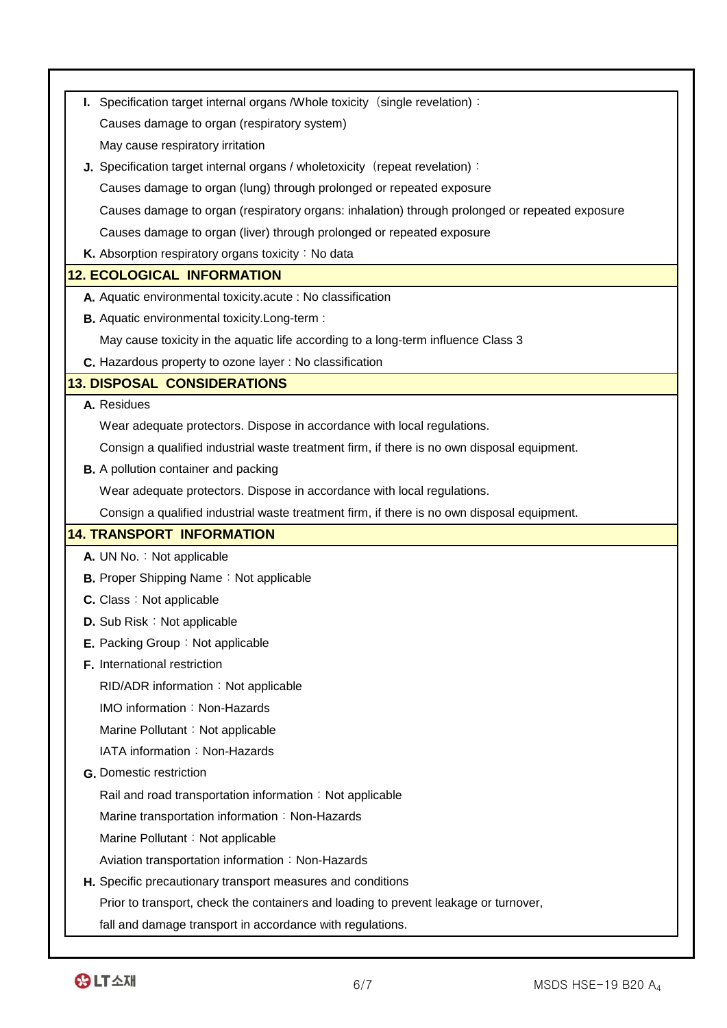| I. Specification target internal organs / Whole toxicity (single revelation):                  |  |
|------------------------------------------------------------------------------------------------|--|
|                                                                                                |  |
| Causes damage to organ (respiratory system)                                                    |  |
| May cause respiratory irritation                                                               |  |
| J. Specification target internal organs / wholetoxicity (repeat revelation):                   |  |
| Causes damage to organ (lung) through prolonged or repeated exposure                           |  |
| Causes damage to organ (respiratory organs: inhalation) through prolonged or repeated exposure |  |
| Causes damage to organ (liver) through prolonged or repeated exposure                          |  |
| K. Absorption respiratory organs toxicity: No data                                             |  |
| <b>12. ECOLOGICAL INFORMATION</b>                                                              |  |
| A. Aquatic environmental toxicity acute : No classification                                    |  |
| <b>B.</b> Aquatic environmental toxicity. Long-term :                                          |  |
| May cause toxicity in the aquatic life according to a long-term influence Class 3              |  |
| C. Hazardous property to ozone layer : No classification                                       |  |
| <b>13. DISPOSAL CONSIDERATIONS</b>                                                             |  |
| A. Residues                                                                                    |  |
| Wear adequate protectors. Dispose in accordance with local regulations.                        |  |
| Consign a qualified industrial waste treatment firm, if there is no own disposal equipment.    |  |
| <b>B.</b> A pollution container and packing                                                    |  |
| Wear adequate protectors. Dispose in accordance with local regulations.                        |  |
| Consign a qualified industrial waste treatment firm, if there is no own disposal equipment.    |  |
| <b>14. TRANSPORT INFORMATION</b>                                                               |  |
| A. UN No.: Not applicable                                                                      |  |
| <b>B.</b> Proper Shipping Name: Not applicable                                                 |  |
| <b>C.</b> Class: Not applicable                                                                |  |
| D. Sub Risk: Not applicable                                                                    |  |
| E. Packing Group: Not applicable                                                               |  |
| F. International restriction                                                                   |  |
| RID/ADR information: Not applicable                                                            |  |
| IMO information: Non-Hazards                                                                   |  |
| Marine Pollutant: Not applicable                                                               |  |
| IATA information: Non-Hazards                                                                  |  |
| <b>G.</b> Domestic restriction                                                                 |  |
| Rail and road transportation information: Not applicable                                       |  |
| Marine transportation information: Non-Hazards                                                 |  |
| Marine Pollutant: Not applicable                                                               |  |
| Aviation transportation information: Non-Hazards                                               |  |
| H. Specific precautionary transport measures and conditions                                    |  |
| Prior to transport, check the containers and loading to prevent leakage or turnover,           |  |
| fall and damage transport in accordance with regulations.                                      |  |